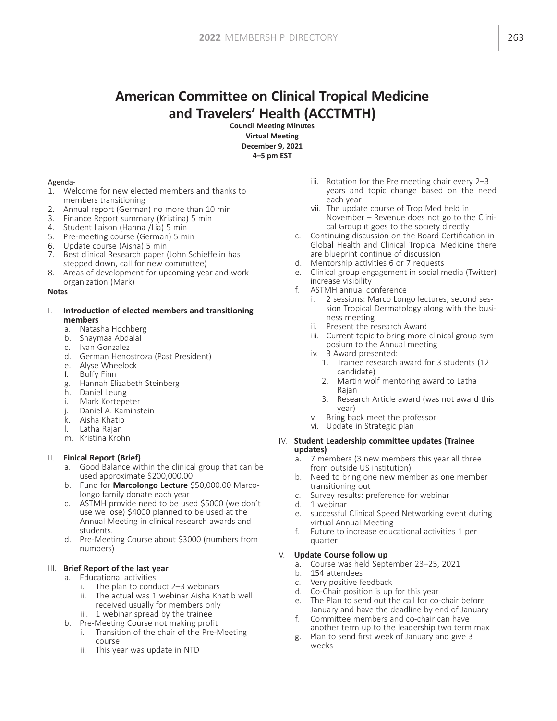# American Committee on Clinical Tropical Medicine and Travelers' Health (ACCTMTH)

Council Meeting Minutes Virtual Meeting December 9, 2021 4–5 pm EST

#### Agenda-

- 1. Welcome for new elected members and thanks to members transitioning
- 2. Annual report (German) no more than 10 min
- 3. Finance Report summary (Kristina) 5 min
- 4. Student liaison (Hanna /Lia) 5 min
- 5. Pre-meeting course (German) 5 min
- 6. Update course (Aisha) 5 min
- 7. Best clinical Research paper (John Schieffelin has stepped down, call for new committee)
- 8. Areas of development for upcoming year and work organization (Mark)

#### **Notes**

#### I. Introduction of elected members and transitioning members

- a. Natasha Hochberg
- b. Shaymaa Abdalal
- c. Ivan Gonzalez
- d. German Henostroza (Past President)
- e. Alyse Wheelock
- f. Buffy Finn
- g. Hannah Elizabeth Steinberg
- h. Daniel Leung
- i. Mark Kortepeter
- j. Daniel A. Kaminstein
- k. Aisha Khatib
- l. Latha Rajan
- m. Kristina Krohn

#### II. Finical Report (Brief)

- a. Good Balance within the clinical group that can be used approximate \$200,000.00
- b. Fund for Marcolongo Lecture \$50,000.00 Marcolongo family donate each year
- c. ASTMH provide need to be used \$5000 (we don't use we lose) \$4000 planned to be used at the Annual Meeting in clinical research awards and students.
- d. Pre-Meeting Course about \$3000 (numbers from numbers)

#### III. Brief Report of the last year

- a. Educational activities:
	- i. The plan to conduct 2–3 webinars
	- ii. The actual was 1 webinar Aisha Khatib well received usually for members only
	- iii. 1 webinar spread by the trainee
- b. Pre-Meeting Course not making profit
	- i. Transition of the chair of the Pre-Meeting course
	- ii. This year was update in NTD
- iii. Rotation for the Pre meeting chair every 2–3 years and topic change based on the need each year
- vii. The update course of Trop Med held in November – Revenue does not go to the Clinical Group it goes to the society directly
- c. Continuing discussion on the Board Certification in Global Health and Clinical Tropical Medicine there are blueprint continue of discussion
- d. Mentorship activities 6 or 7 requests
- e. Clinical group engagement in social media (Twitter) increase visibility
- f. ASTMH annual conference
	- i. 2 sessions: Marco Longo lectures, second session Tropical Dermatology along with the business meeting
	- ii. Present the research Award
	- iii. Current topic to bring more clinical group symposium to the Annual meeting
	- iv. 3 Award presented:
		- 1. Trainee research award for 3 students (12 candidate)
		- 2. Martin wolf mentoring award to Latha Rajan
		- 3. Research Article award (was not award this year)
	- v. Bring back meet the professor
	- vi. Update in Strategic plan

#### IV. Student Leadership committee updates (Trainee updates)

- a. 7 members (3 new members this year all three from outside US institution)
- b. Need to bring one new member as one member transitioning out
- c. Survey results: preference for webinar
- d. 1 webinar
- e. successful Clinical Speed Networking event during virtual Annual Meeting
- f. Future to increase educational activities 1 per quarter

#### V. Update Course follow up

- a. Course was held September 23–25, 2021
- b. 154 attendees
- c. Very positive feedback
- d. Co-Chair position is up for this year
- e. The Plan to send out the call for co-chair before January and have the deadline by end of January
- f. Committee members and co-chair can have another term up to the leadership two term max
- g. Plan to send first week of January and give 3 weeks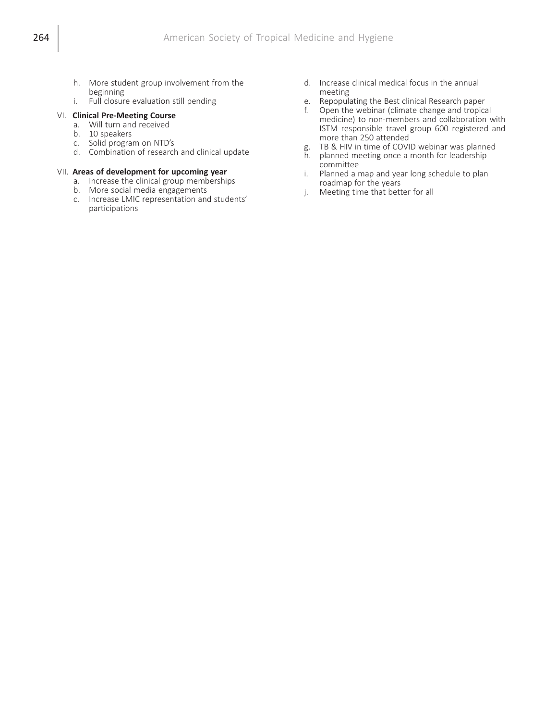- h. More student group involvement from the beginning
- i. Full closure evaluation still pending

## VI. Clinical Pre-Meeting Course

- a. Will turn and received
- b. 10 speakers
- c. Solid program on NTD's
- d. Combination of research and clinical update

#### VII. Areas of development for upcoming year

- a. Increase the clinical group memberships
- b. More social media engagements
- c. Increase LMIC representation and students' participations
- d. Increase clinical medical focus in the annual meeting
- e. Repopulating the Best clinical Research paper
- f. Open the webinar (climate change and tropical medicine) to non-members and collaboration with ISTM responsible travel group 600 registered and more than 250 attended
- g. TB & HIV in time of COVID webinar was planned
- h. planned meeting once a month for leadership committee
- i. Planned a map and year long schedule to plan roadmap for the years
- j. Meeting time that better for all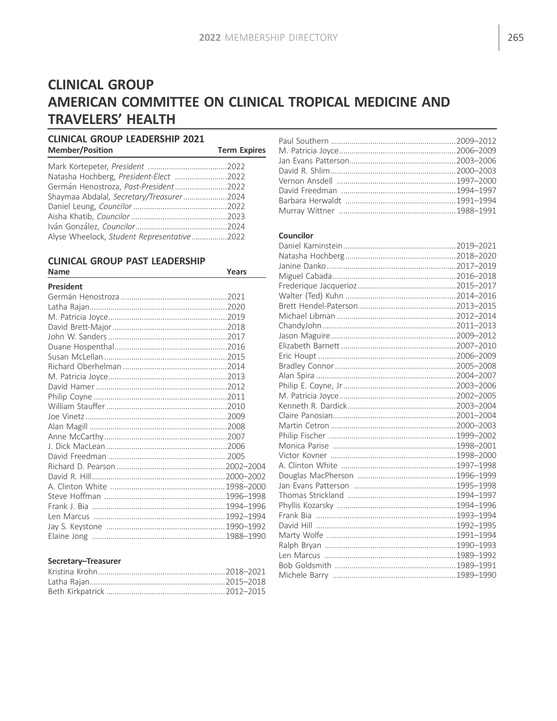# **CLINICAL GROUP** AMERICAN COMMITTEE ON CLINICAL TROPICAL MEDICINE AND **TRAVELERS' HEALTH**

## **CLINICAL GROUP LEADERSHIP 2021 Member/Position**

| <b>Member/Position</b>                     | <b>Term Expires</b> |
|--------------------------------------------|---------------------|
|                                            |                     |
| Natasha Hochberg, President-Elect 2022     |                     |
| Germán Henostroza, Past-President2022      |                     |
| Shaymaa Abdalal, Secretary/Treasurer2024   |                     |
|                                            |                     |
|                                            |                     |
|                                            |                     |
| Alyse Wheelock, Student Representative2022 |                     |

#### **CLINICAL GROUP PAST LEADERSHIP Name**

| <b>Name</b>      | Years |
|------------------|-------|
| <b>President</b> |       |
|                  |       |
|                  |       |
|                  |       |
|                  |       |
|                  |       |
|                  |       |
|                  |       |
|                  |       |
|                  |       |
|                  |       |
|                  |       |
|                  |       |
|                  |       |
|                  |       |
|                  |       |
|                  |       |
|                  |       |
|                  |       |
|                  |       |
|                  |       |
|                  |       |
|                  |       |
|                  |       |
|                  |       |
|                  |       |

## Secretary-Treasurer

## Councilor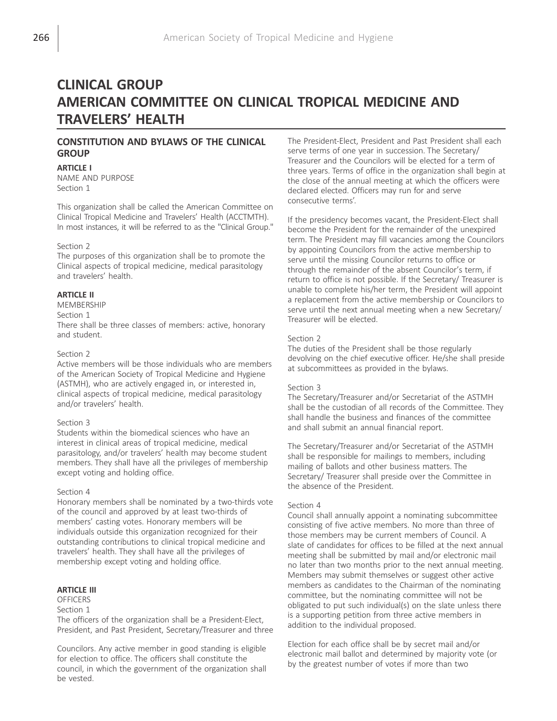# CLINICAL GROUP AMERICAN COMMITTEE ON CLINICAL TROPICAL MEDICINE AND TRAVELERS' HEALTH

## CONSTITUTION AND BYLAWS OF THE CLINICAL **GROUP**

#### **ARTICLE I**

NAME AND PURPOSE Section 1

This organization shall be called the American Committee on Clinical Tropical Medicine and Travelers' Health (ACCTMTH). In most instances, it will be referred to as the "Clinical Group."

#### Section 2

The purposes of this organization shall be to promote the Clinical aspects of tropical medicine, medical parasitology and travelers' health.

### **ARTICLE II**

MEMBERSHIP

### Section 1

There shall be three classes of members: active, honorary and student.

#### Section 2

Active members will be those individuals who are members of the American Society of Tropical Medicine and Hygiene (ASTMH), who are actively engaged in, or interested in, clinical aspects of tropical medicine, medical parasitology and/or travelers' health.

#### Section 3

Students within the biomedical sciences who have an interest in clinical areas of tropical medicine, medical parasitology, and/or travelers' health may become student members. They shall have all the privileges of membership except voting and holding office.

#### Section 4

Honorary members shall be nominated by a two-thirds vote of the council and approved by at least two-thirds of members' casting votes. Honorary members will be individuals outside this organization recognized for their outstanding contributions to clinical tropical medicine and travelers' health. They shall have all the privileges of membership except voting and holding office.

### ARTICLE III

## **OFFICERS**

Section 1

The officers of the organization shall be a President-Elect, President, and Past President, Secretary/Treasurer and three

Councilors. Any active member in good standing is eligible for election to office. The officers shall constitute the council, in which the government of the organization shall be vested.

The President-Elect, President and Past President shall each serve terms of one year in succession. The Secretary/ Treasurer and the Councilors will be elected for a term of three years. Terms of office in the organization shall begin at the close of the annual meeting at which the officers were declared elected. Officers may run for and serve consecutive terms'.

If the presidency becomes vacant, the President-Elect shall become the President for the remainder of the unexpired term. The President may fill vacancies among the Councilors by appointing Councilors from the active membership to serve until the missing Councilor returns to office or through the remainder of the absent Councilor's term, if return to office is not possible. If the Secretary/ Treasurer is unable to complete his/her term, the President will appoint a replacement from the active membership or Councilors to serve until the next annual meeting when a new Secretary/ Treasurer will be elected.

#### Section 2

The duties of the President shall be those regularly devolving on the chief executive officer. He/she shall preside at subcommittees as provided in the bylaws.

#### Section 3

The Secretary/Treasurer and/or Secretariat of the ASTMH shall be the custodian of all records of the Committee. They shall handle the business and finances of the committee and shall submit an annual financial report.

The Secretary/Treasurer and/or Secretariat of the ASTMH shall be responsible for mailings to members, including mailing of ballots and other business matters. The Secretary/ Treasurer shall preside over the Committee in the absence of the President.

#### Section 4

Council shall annually appoint a nominating subcommittee consisting of five active members. No more than three of those members may be current members of Council. A slate of candidates for offices to be filled at the next annual meeting shall be submitted by mail and/or electronic mail no later than two months prior to the next annual meeting. Members may submit themselves or suggest other active members as candidates to the Chairman of the nominating committee, but the nominating committee will not be obligated to put such individual(s) on the slate unless there is a supporting petition from three active members in addition to the individual proposed.

Election for each office shall be by secret mail and/or electronic mail ballot and determined by majority vote (or by the greatest number of votes if more than two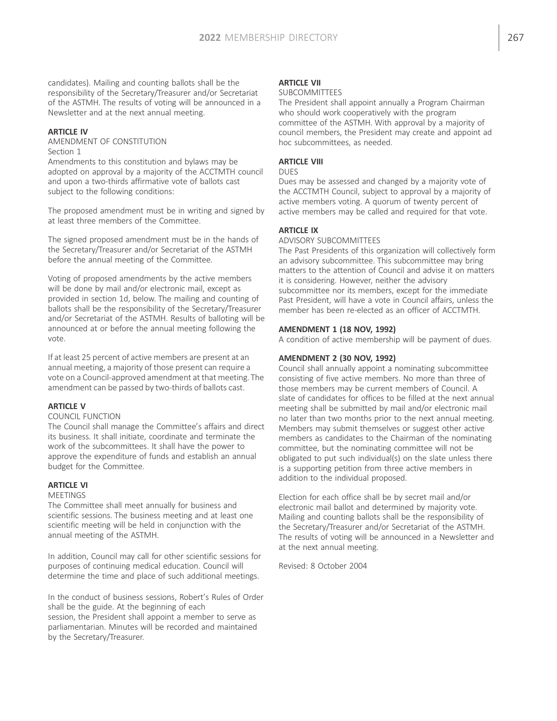candidates). Mailing and counting ballots shall be the responsibility of the Secretary/Treasurer and/or Secretariat of the ASTMH. The results of voting will be announced in a Newsletter and at the next annual meeting.

### ARTICLE IV

AMENDMENT OF CONSTITUTION Section 1

Amendments to this constitution and bylaws may be adopted on approval by a majority of the ACCTMTH council and upon a two-thirds affirmative vote of ballots cast subject to the following conditions:

The proposed amendment must be in writing and signed by at least three members of the Committee.

The signed proposed amendment must be in the hands of the Secretary/Treasurer and/or Secretariat of the ASTMH before the annual meeting of the Committee.

Voting of proposed amendments by the active members will be done by mail and/or electronic mail, except as provided in section 1d, below. The mailing and counting of ballots shall be the responsibility of the Secretary/Treasurer and/or Secretariat of the ASTMH. Results of balloting will be announced at or before the annual meeting following the vote.

If at least 25 percent of active members are present at an annual meeting, a majority of those present can require a vote on a Council-approved amendment at that meeting.The amendment can be passed by two-thirds of ballots cast.

## ARTICLE V

#### COUNCIL FUNCTION

The Council shall manage the Committee's affairs and direct its business. It shall initiate, coordinate and terminate the work of the subcommittees. It shall have the power to approve the expenditure of funds and establish an annual budget for the Committee.

## ARTICLE VI

#### **MEETINGS**

The Committee shall meet annually for business and scientific sessions. The business meeting and at least one scientific meeting will be held in conjunction with the annual meeting of the ASTMH.

In addition, Council may call for other scientific sessions for purposes of continuing medical education. Council will determine the time and place of such additional meetings.

In the conduct of business sessions, Robert's Rules of Order shall be the guide. At the beginning of each session, the President shall appoint a member to serve as parliamentarian. Minutes will be recorded and maintained by the Secretary/Treasurer.

## **ARTICLE VII**

#### SUBCOMMITTEES

The President shall appoint annually a Program Chairman who should work cooperatively with the program committee of the ASTMH. With approval by a majority of council members, the President may create and appoint ad hoc subcommittees, as needed.

## ARTICLE VIII

## DUES

Dues may be assessed and changed by a majority vote of the ACCTMTH Council, subject to approval by a majority of active members voting. A quorum of twenty percent of active members may be called and required for that vote.

## ARTICLE IX

#### ADVISORY SUBCOMMITTEES

The Past Presidents of this organization will collectively form an advisory subcommittee. This subcommittee may bring matters to the attention of Council and advise it on matters it is considering. However, neither the advisory subcommittee nor its members, except for the immediate Past President, will have a vote in Council affairs, unless the member has been re-elected as an officer of ACCTMTH.

#### AMENDMENT 1 (18 NOV, 1992)

A condition of active membership will be payment of dues.

### AMENDMENT 2 (30 NOV, 1992)

Council shall annually appoint a nominating subcommittee consisting of five active members. No more than three of those members may be current members of Council. A slate of candidates for offices to be filled at the next annual meeting shall be submitted by mail and/or electronic mail no later than two months prior to the next annual meeting. Members may submit themselves or suggest other active members as candidates to the Chairman of the nominating committee, but the nominating committee will not be obligated to put such individual(s) on the slate unless there is a supporting petition from three active members in addition to the individual proposed.

Election for each office shall be by secret mail and/or electronic mail ballot and determined by majority vote. Mailing and counting ballots shall be the responsibility of the Secretary/Treasurer and/or Secretariat of the ASTMH. The results of voting will be announced in a Newsletter and at the next annual meeting.

Revised: 8 October 2004